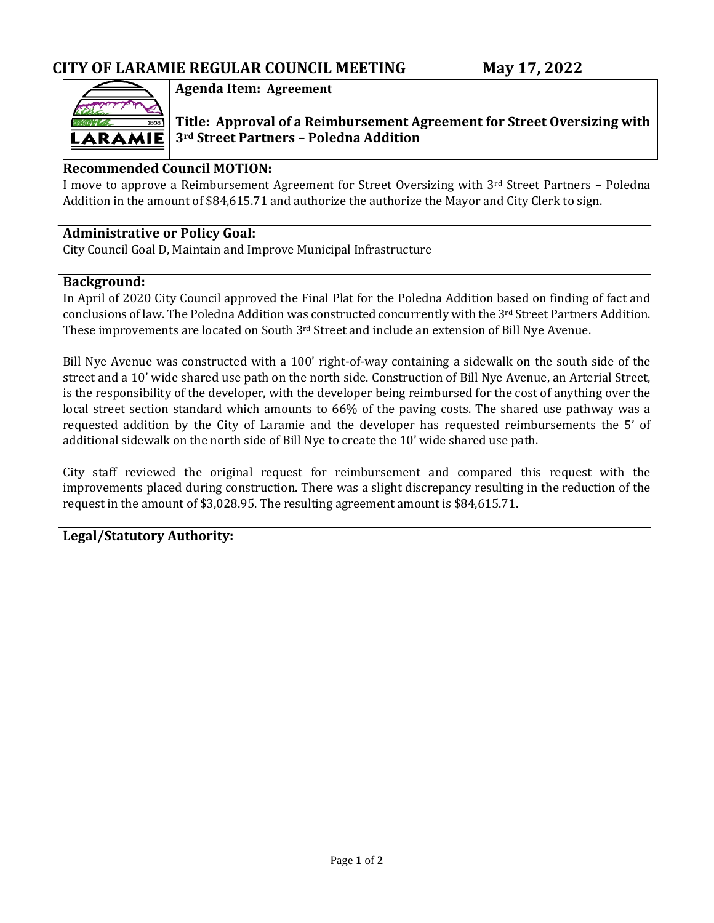

**Agenda Item: Agreement**

**Title: Approval of a Reimbursement Agreement for Street Oversizing with 3rd Street Partners – Poledna Addition**

## **Recommended Council MOTION:**

I move to approve a Reimbursement Agreement for Street Oversizing with 3rd Street Partners - Poledna Addition in the amount of \$84,615.71 and authorize the authorize the Mayor and City Clerk to sign.

### **Administrative or Policy Goal:**

City Council Goal D, Maintain and Improve Municipal Infrastructure

#### **Background:**

In April of 2020 City Council approved the Final Plat for the Poledna Addition based on finding of fact and conclusions of law. The Poledna Addition was constructed concurrently with the 3rd Street Partners Addition. These improvements are located on South 3rd Street and include an extension of Bill Nye Avenue.

Bill Nye Avenue was constructed with a 100' right-of-way containing a sidewalk on the south side of the street and a 10' wide shared use path on the north side. Construction of Bill Nye Avenue, an Arterial Street, is the responsibility of the developer, with the developer being reimbursed for the cost of anything over the local street section standard which amounts to 66% of the paving costs. The shared use pathway was a requested addition by the City of Laramie and the developer has requested reimbursements the 5' of additional sidewalk on the north side of Bill Nye to create the 10' wide shared use path.

City staff reviewed the original request for reimbursement and compared this request with the improvements placed during construction. There was a slight discrepancy resulting in the reduction of the request in the amount of \$3,028.95. The resulting agreement amount is \$84,615.71.

### **Legal/Statutory Authority:**